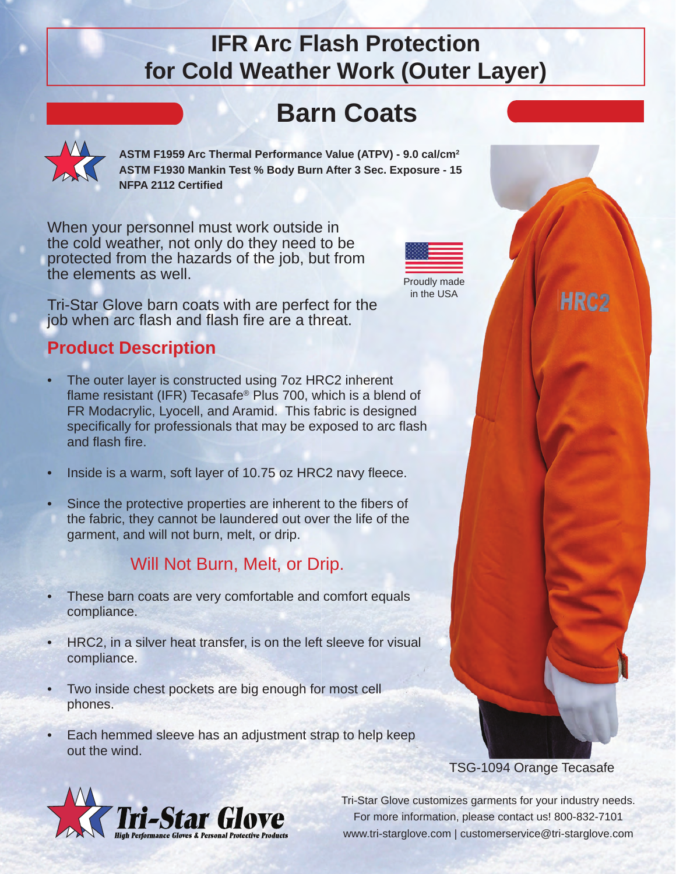## **IFR Arc Flash Protection for Cold Weather Work (Outer Layer)**

# **Barn Coats**

**ASTM F1959 Arc Thermal Performance Value (ATPV) - 9.0 cal/cm2 ASTM F1930 Mankin Test % Body Burn After 3 Sec. Exposure - 15 NFPA 2112 Certifi ed**

When your personnel must work outside in the cold weather, not only do they need to be protected from the hazards of the job, but from the elements as well.

Tri-Star Glove barn coats with are perfect for the job when arc flash and flash fire are a threat.

### **Product Description**

- The outer layer is constructed using 7oz HRC2 inherent flame resistant (IFR) Tecasafe<sup>®</sup> Plus 700, which is a blend of FR Modacrylic, Lyocell, and Aramid. This fabric is designed specifically for professionals that may be exposed to arc flash and flash fire.
- Inside is a warm, soft layer of 10.75 oz HRC2 navy fleece.
- Since the protective properties are inherent to the fibers of the fabric, they cannot be laundered out over the life of the garment, and will not burn, melt, or drip.

## Will Not Burn, Melt, or Drip.

- These barn coats are very comfortable and comfort equals compliance.
- HRC2, in a silver heat transfer, is on the left sleeve for visual compliance.
- Two inside chest pockets are big enough for most cell phones.
- Each hemmed sleeve has an adjustment strap to help keep out the wind.



Proudly made in the USA



HRC<sub>2</sub>



Tri-Star Glove customizes garments for your industry needs. For more information, please contact us! 800-832-7101 www.tri-starglove.com | customerservice@tri-starglove.com